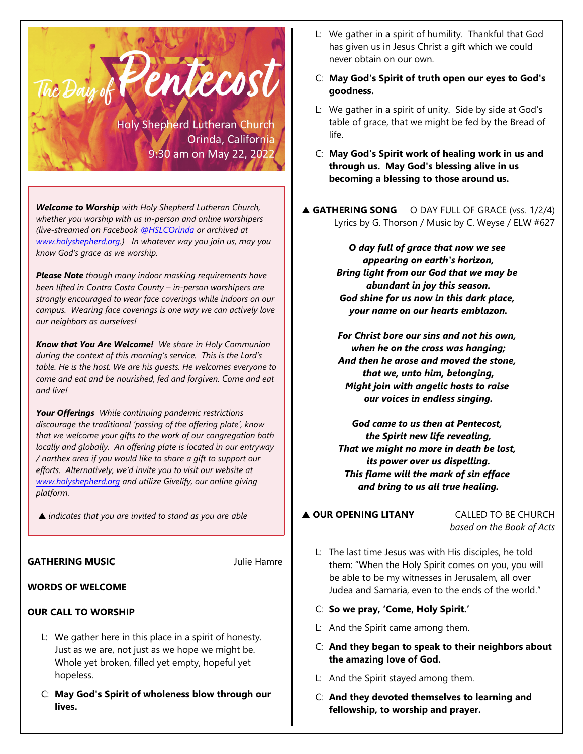

Orinda, California 9:30 am on May 22, 2022

*Welcome to Worship with Holy Shepherd Lutheran Church, whether you worship with us in-person and online worshipers (live-streamed on Facebook @HSLCOrinda or archived at www.holyshepherd.org.) In whatever way you join us, may you know God's grace as we worship.* 

*Please Note though many indoor masking requirements have been lifted in Contra Costa County – in-person worshipers are strongly encouraged to wear face coverings while indoors on our campus. Wearing face coverings is one way we can actively love our neighbors as ourselves!* 

*Know that You Are Welcome! We share in Holy Communion during the context of this morning's service. This is the Lord's table. He is the host. We are his guests. He welcomes everyone to come and eat and be nourished, fed and forgiven. Come and eat and live!*

*Your Offerings While continuing pandemic restrictions discourage the traditional 'passing of the offering plate', know that we welcome your gifts to the work of our congregation both locally and globally. An offering plate is located in our entryway / narthex area if you would like to share a gift to support our efforts. Alternatively, we'd invite you to visit our website at [www.holyshepherd.org](http://www.holyshepherd.org) and utilize Givelify, our online giving platform.*

*indicates that you are invited to stand as you are able*

# **GATHERING MUSIC** Julie Hamre

# **WORDS OF WELCOME**

# **OUR CALL TO WORSHIP**

- L: We gather here in this place in a spirit of honesty. Just as we are, not just as we hope we might be. Whole yet broken, filled yet empty, hopeful yet hopeless.
- C: **May God's Spirit of wholeness blow through our lives.**
- L: We gather in a spirit of humility. Thankful that God has given us in Jesus Christ a gift which we could never obtain on our own.
- C: **May God's Spirit of truth open our eyes to God's goodness.**
- L: We gather in a spirit of unity. Side by side at God's table of grace, that we might be fed by the Bread of life.
- C: **May God's Spirit work of healing work in us and through us. May God's blessing alive in us becoming a blessing to those around us.**
- **GATHERING SONG** O DAY FULL OF GRACE (vss. 1/2/4) Lyrics by G. Thorson / Music by C. Weyse / ELW #627

*O day full of grace that now we see appearing on earth's horizon, Bring light from our God that we may be abundant in joy this season. God shine for us now in this dark place, your name on our hearts emblazon.*

*For Christ bore our sins and not his own, when he on the cross was hanging; And then he arose and moved the stone, that we, unto him, belonging, Might join with angelic hosts to raise our voices in endless singing.*

*God came to us then at Pentecost, the Spirit new life revealing, That we might no more in death be lost, its power over us dispelling. This flame will the mark of sin efface and bring to us all true healing.*

**A OUR OPENING LITANY** CALLED TO BE CHURCH *based on the Book of Acts*

- L: The last time Jesus was with His disciples, he told them: "When the Holy Spirit comes on you, you will be able to be my witnesses in Jerusalem, all over Judea and Samaria, even to the ends of the world."
- C: **So we pray, 'Come, Holy Spirit.'**
- L: And the Spirit came among them.
- C: **And they began to speak to their neighbors about the amazing love of God.**
- L: And the Spirit stayed among them.
- C: **And they devoted themselves to learning and fellowship, to worship and prayer.**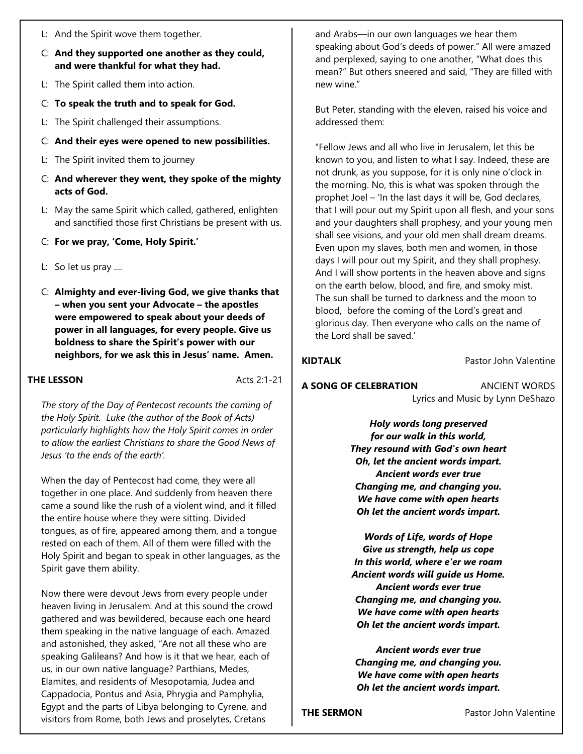- L: And the Spirit wove them together.
- C: **And they supported one another as they could, and were thankful for what they had.**
- L: The Spirit called them into action.
- C: **To speak the truth and to speak for God.**
- L: The Spirit challenged their assumptions.
- C: **And their eyes were opened to new possibilities.**
- L: The Spirit invited them to journey
- C: **And wherever they went, they spoke of the mighty acts of God.**
- L: May the same Spirit which called, gathered, enlighten and sanctified those first Christians be present with us.
- C: **For we pray, 'Come, Holy Spirit.'**
- L: So let us pray ....
- C: **Almighty and ever-living God, we give thanks that – when you sent your Advocate – the apostles were empowered to speak about your deeds of power in all languages, for every people. Give us boldness to share the Spirit's power with our neighbors, for we ask this in Jesus' name. Amen.**

### **THE LESSON** Acts 2:1-21

*The story of the Day of Pentecost recounts the coming of the Holy Spirit. Luke (the author of the Book of Acts) particularly highlights how the Holy Spirit comes in order to allow the earliest Christians to share the Good News of Jesus 'to the ends of the earth'.*

When the day of Pentecost had come, they were all together in one place. And suddenly from heaven there came a sound like the rush of a violent wind, and it filled the entire house where they were sitting. Divided tongues, as of fire, appeared among them, and a tongue rested on each of them. All of them were filled with the Holy Spirit and began to speak in other languages, as the Spirit gave them ability.

Now there were devout Jews from every people under heaven living in Jerusalem. And at this sound the crowd gathered and was bewildered, because each one heard them speaking in the native language of each. Amazed and astonished, they asked, "Are not all these who are speaking Galileans? And how is it that we hear, each of us, in our own native language? Parthians, Medes, Elamites, and residents of Mesopotamia, Judea and Cappadocia, Pontus and Asia, Phrygia and Pamphylia, Egypt and the parts of Libya belonging to Cyrene, and visitors from Rome, both Jews and proselytes, Cretans

and Arabs—in our own languages we hear them speaking about God's deeds of power." All were amazed and perplexed, saying to one another, "What does this mean?" But others sneered and said, "They are filled with new wine."

But Peter, standing with the eleven, raised his voice and addressed them:

"Fellow Jews and all who live in Jerusalem, let this be known to you, and listen to what I say. Indeed, these are not drunk, as you suppose, for it is only nine o'clock in the morning. No, this is what was spoken through the prophet Joel – 'In the last days it will be, God declares, that I will pour out my Spirit upon all flesh, and your sons and your daughters shall prophesy, and your young men shall see visions, and your old men shall dream dreams. Even upon my slaves, both men and women, in those days I will pour out my Spirit, and they shall prophesy. And I will show portents in the heaven above and signs on the earth below, blood, and fire, and smoky mist. The sun shall be turned to darkness and the moon to blood, before the coming of the Lord's great and glorious day. Then everyone who calls on the name of the Lord shall be saved.'

**KIDTALK** Pastor John Valentine

# **A SONG OF CELEBRATION** ANCIENT WORDS

Lyrics and Music by Lynn DeShazo

*Holy words long preserved for our walk in this world, They resound with God's own heart Oh, let the ancient words impart. Ancient words ever true Changing me, and changing you. We have come with open hearts Oh let the ancient words impart.*

*Words of Life, words of Hope Give us strength, help us cope In this world, where e'er we roam Ancient words will guide us Home. Ancient words ever true Changing me, and changing you. We have come with open hearts Oh let the ancient words impart.*

*Ancient words ever true Changing me, and changing you. We have come with open hearts Oh let the ancient words impart.*

**THE SERMON Pastor John Valentine**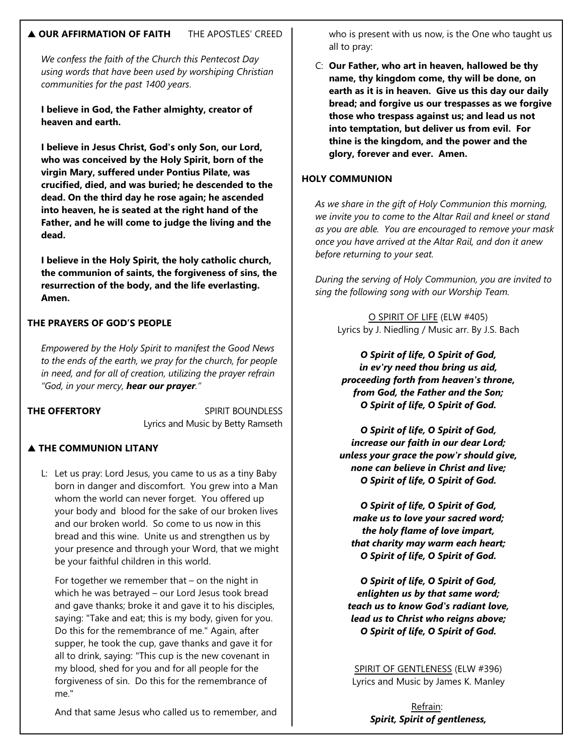# **A OUR AFFIRMATION OF FAITH THE APOSTLES' CREED**

*We confess the faith of the Church this Pentecost Day using words that have been used by worshiping Christian communities for the past 1400 years*.

**I believe in God, the Father almighty, creator of heaven and earth.**

**I believe in Jesus Christ, God's only Son, our Lord, who was conceived by the Holy Spirit, born of the virgin Mary, suffered under Pontius Pilate, was crucified, died, and was buried; he descended to the dead. On the third day he rose again; he ascended into heaven, he is seated at the right hand of the Father, and he will come to judge the living and the dead.**

**I believe in the Holy Spirit, the holy catholic church, the communion of saints, the forgiveness of sins, the resurrection of the body, and the life everlasting. Amen.**

### **THE PRAYERS OF GOD'S PEOPLE**

*Empowered by the Holy Spirit to manifest the Good News to the ends of the earth, we pray for the church, for people in need, and for all of creation, utilizing the prayer refrain "God, in your mercy, hear our prayer."*

**THE OFFERTORY** SPIRIT BOUNDLESS Lyrics and Music by Betty Ramseth

### **A THE COMMUNION LITANY**

L: Let us pray: Lord Jesus, you came to us as a tiny Baby born in danger and discomfort. You grew into a Man whom the world can never forget. You offered up your body and blood for the sake of our broken lives and our broken world. So come to us now in this bread and this wine. Unite us and strengthen us by your presence and through your Word, that we might be your faithful children in this world.

For together we remember that – on the night in which he was betrayed – our Lord Jesus took bread and gave thanks; broke it and gave it to his disciples, saying: "Take and eat; this is my body, given for you. Do this for the remembrance of me." Again, after supper, he took the cup, gave thanks and gave it for all to drink, saying: "This cup is the new covenant in my blood, shed for you and for all people for the forgiveness of sin. Do this for the remembrance of me."

And that same Jesus who called us to remember, and

who is present with us now, is the One who taught us all to pray:

C: **Our Father, who art in heaven, hallowed be thy name, thy kingdom come, thy will be done, on earth as it is in heaven. Give us this day our daily bread; and forgive us our trespasses as we forgive those who trespass against us; and lead us not into temptation, but deliver us from evil. For thine is the kingdom, and the power and the glory, forever and ever. Amen.**

### **HOLY COMMUNION**

*As we share in the gift of Holy Communion this morning, we invite you to come to the Altar Rail and kneel or stand as you are able. You are encouraged to remove your mask once you have arrived at the Altar Rail, and don it anew before returning to your seat.*

*During the serving of Holy Communion, you are invited to sing the following song with our Worship Team.*

O SPIRIT OF LIFE (ELW #405) Lyrics by J. Niedling / Music arr. By J.S. Bach

*O Spirit of life, O Spirit of God, in ev'ry need thou bring us aid, proceeding forth from heaven's throne, from God, the Father and the Son; O Spirit of life, O Spirit of God.*

*O Spirit of life, O Spirit of God, increase our faith in our dear Lord; unless your grace the pow'r should give, none can believe in Christ and live; O Spirit of life, O Spirit of God.*

*O Spirit of life, O Spirit of God, make us to love your sacred word; the holy flame of love impart, that charity may warm each heart; O Spirit of life, O Spirit of God.*

*O Spirit of life, O Spirit of God, enlighten us by that same word; teach us to know God's radiant love, lead us to Christ who reigns above; O Spirit of life, O Spirit of God.*

SPIRIT OF GENTLENESS (ELW #396) Lyrics and Music by James K. Manley

> Refrain: *Spirit, Spirit of gentleness,*